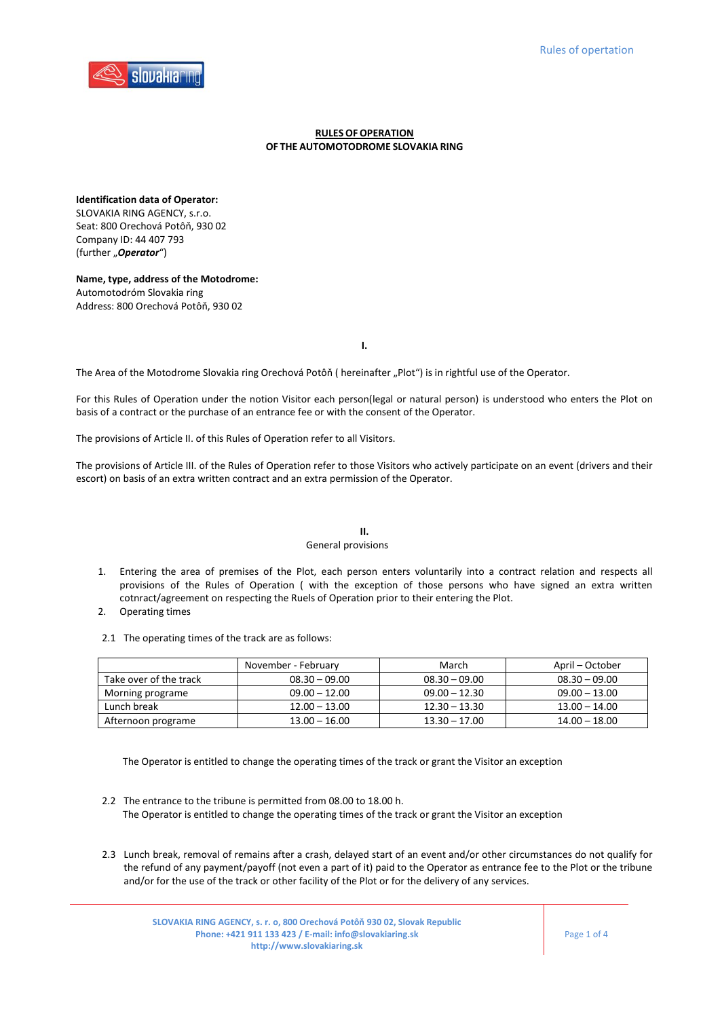

## **RULES OFOPERATION OF THE AUTOMOTODROME SLOVAKIA RING**

**Identification data of Operator:**  SLOVAKIA RING AGENCY, s.r.o. Seat: 800 Orechová Potôň, 930 02 Company ID: 44 407 793 (further "Operator")

**Name, type, address of the Motodrome:** Automotodróm Slovakia ring Address: 800 Orechová Potôň, 930 02

**I.**

The Area of the Motodrome Slovakia ring Orechová Potôň ( hereinafter "Plot") is in rightful use of the Operator.

For this Rules of Operation under the notion Visitor each person(legal or natural person) is understood who enters the Plot on basis of a contract or the purchase of an entrance fee or with the consent of the Operator.

The provisions of Article II. of this Rules of Operation refer to all Visitors.

The provisions of Article III. of the Rules of Operation refer to those Visitors who actively participate on an event (drivers and their escort) on basis of an extra written contract and an extra permission of the Operator.

## **II.**

## General provisions

- 1. Entering the area of premises of the Plot, each person enters voluntarily into a contract relation and respects all provisions of the Rules of Operation ( with the exception of those persons who have signed an extra written cotnract/agreement on respecting the Ruels of Operation prior to their entering the Plot.
- 2. Operating times
- 2.1 The operating times of the track are as follows:

|                        | November - February | March           | April – October |
|------------------------|---------------------|-----------------|-----------------|
| Take over of the track | $08.30 - 09.00$     | $08.30 - 09.00$ | $08.30 - 09.00$ |
| Morning programe       | $09.00 - 12.00$     | $09.00 - 12.30$ | $09.00 - 13.00$ |
| Lunch break            | $12.00 - 13.00$     | $12.30 - 13.30$ | $13.00 - 14.00$ |
| Afternoon programe     | $13.00 - 16.00$     | $13.30 - 17.00$ | $14.00 - 18.00$ |

The Operator is entitled to change the operating times of the track or grant the Visitor an exception

- 2.2 The entrance to the tribune is permitted from 08.00 to 18.00 h. The Operator is entitled to change the operating times of the track or grant the Visitor an exception
- 2.3 Lunch break, removal of remains after a crash, delayed start of an event and/or other circumstances do not qualify for the refund of any payment/payoff (not even a part of it) paid to the Operator as entrance fee to the Plot or the tribune and/or for the use of the track or other facility of the Plot or for the delivery of any services.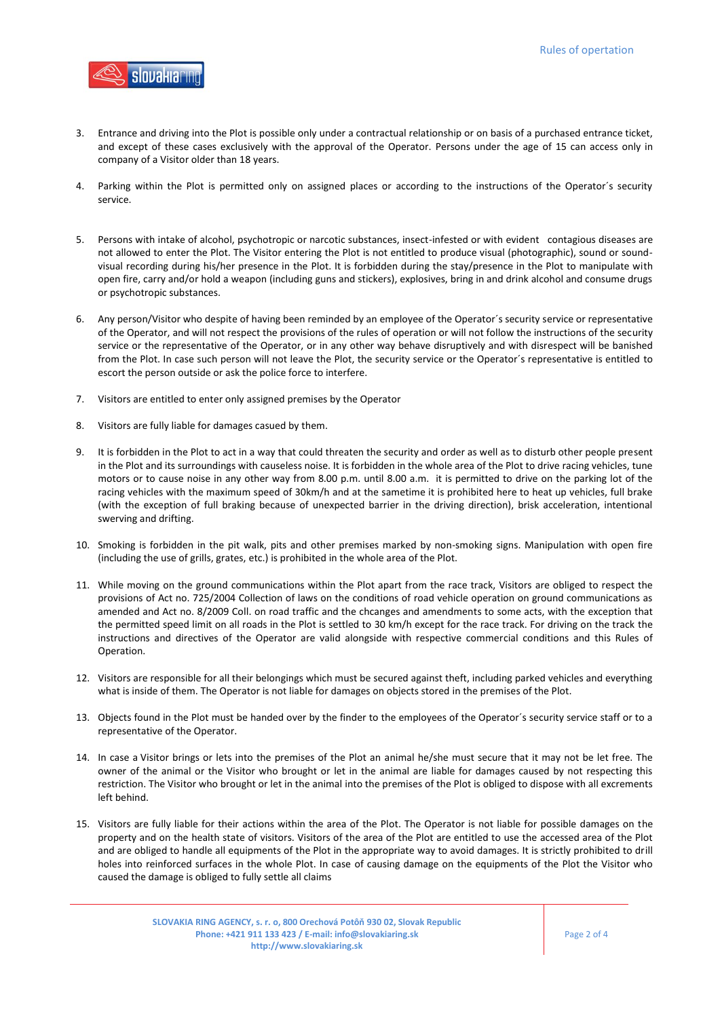

- 3. Entrance and driving into the Plot is possible only under a contractual relationship or on basis of a purchased entrance ticket, and except of these cases exclusively with the approval of the Operator. Persons under the age of 15 can access only in company of a Visitor older than 18 years.
- 4. Parking within the Plot is permitted only on assigned places or according to the instructions of the Operator´s security service.
- 5. Persons with intake of alcohol, psychotropic or narcotic substances, insect-infested or with evident contagious diseases are not allowed to enter the Plot. The Visitor entering the Plot is not entitled to produce visual (photographic), sound or soundvisual recording during his/her presence in the Plot. It is forbidden during the stay/presence in the Plot to manipulate with open fire, carry and/or hold a weapon (including guns and stickers), explosives, bring in and drink alcohol and consume drugs or psychotropic substances.
- 6. Any person/Visitor who despite of having been reminded by an employee of the Operator´s security service or representative of the Operator, and will not respect the provisions of the rules of operation or will not follow the instructions of the security service or the representative of the Operator, or in any other way behave disruptively and with disrespect will be banished from the Plot. In case such person will not leave the Plot, the security service or the Operator´s representative is entitled to escort the person outside or ask the police force to interfere.
- 7. Visitors are entitled to enter only assigned premises by the Operator
- 8. Visitors are fully liable for damages casued by them.
- 9. It is forbidden in the Plot to act in a way that could threaten the security and order as well as to disturb other people present in the Plot and its surroundings with causeless noise. It is forbidden in the whole area of the Plot to drive racing vehicles, tune motors or to cause noise in any other way from 8.00 p.m. until 8.00 a.m. it is permitted to drive on the parking lot of the racing vehicles with the maximum speed of 30km/h and at the sametime it is prohibited here to heat up vehicles, full brake (with the exception of full braking because of unexpected barrier in the driving direction), brisk acceleration, intentional swerving and drifting.
- 10. Smoking is forbidden in the pit walk, pits and other premises marked by non-smoking signs. Manipulation with open fire (including the use of grills, grates, etc.) is prohibited in the whole area of the Plot.
- 11. While moving on the ground communications within the Plot apart from the race track, Visitors are obliged to respect the provisions of Act no. 725/2004 Collection of laws on the conditions of road vehicle operation on ground communications as amended and Act no. 8/2009 Coll. on road traffic and the chcanges and amendments to some acts, with the exception that the permitted speed limit on all roads in the Plot is settled to 30 km/h except for the race track. For driving on the track the instructions and directives of the Operator are valid alongside with respective commercial conditions and this Rules of Operation.
- 12. Visitors are responsible for all their belongings which must be secured against theft, including parked vehicles and everything what is inside of them. The Operator is not liable for damages on objects stored in the premises of the Plot.
- 13. Objects found in the Plot must be handed over by the finder to the employees of the Operator´s security service staff or to a representative of the Operator.
- 14. In case a Visitor brings or lets into the premises of the Plot an animal he/she must secure that it may not be let free. The owner of the animal or the Visitor who brought or let in the animal are liable for damages caused by not respecting this restriction. The Visitor who brought or let in the animal into the premises of the Plot is obliged to dispose with all excrements left behind.
- 15. Visitors are fully liable for their actions within the area of the Plot. The Operator is not liable for possible damages on the property and on the health state of visitors. Visitors of the area of the Plot are entitled to use the accessed area of the Plot and are obliged to handle all equipments of the Plot in the appropriate way to avoid damages. It is strictly prohibited to drill holes into reinforced surfaces in the whole Plot. In case of causing damage on the equipments of the Plot the Visitor who caused the damage is obliged to fully settle all claims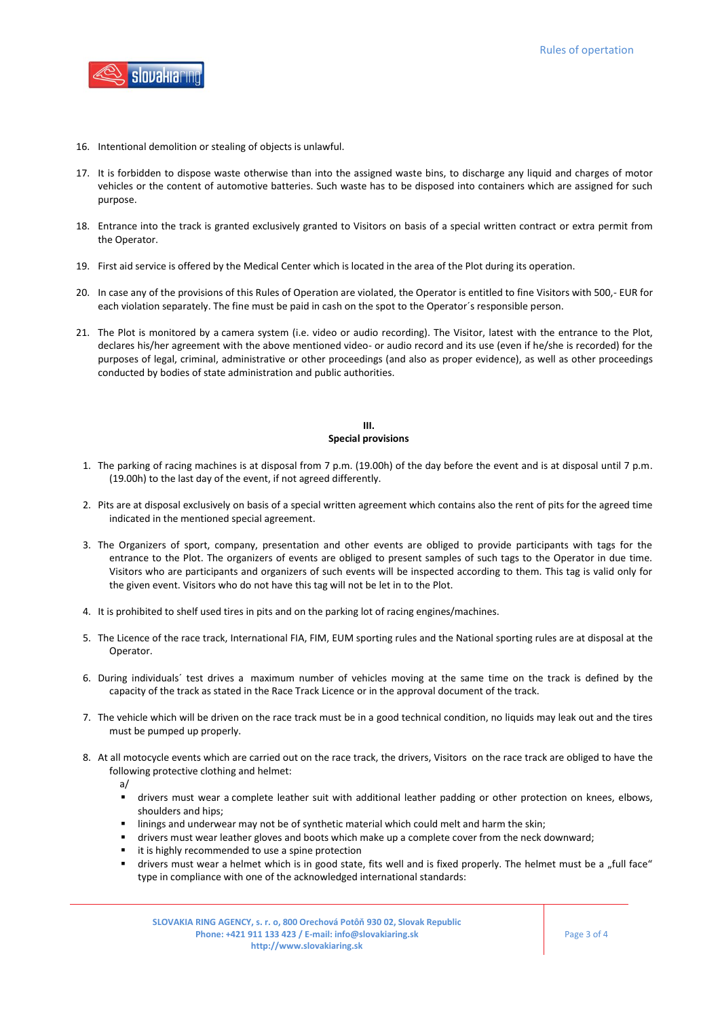

- 16. Intentional demolition or stealing of objects is unlawful.
- 17. It is forbidden to dispose waste otherwise than into the assigned waste bins, to discharge any liquid and charges of motor vehicles or the content of automotive batteries. Such waste has to be disposed into containers which are assigned for such purpose.
- 18. Entrance into the track is granted exclusively granted to Visitors on basis of a special written contract or extra permit from the Operator.
- 19. First aid service is offered by the Medical Center which is located in the area of the Plot during its operation.
- 20. In case any of the provisions of this Rules of Operation are violated, the Operator is entitled to fine Visitors with 500,- EUR for each violation separately. The fine must be paid in cash on the spot to the Operator´s responsible person.
- 21. The Plot is monitored by a camera system (i.e. video or audio recording). The Visitor, latest with the entrance to the Plot, declares his/her agreement with the above mentioned video- or audio record and its use (even if he/she is recorded) for the purposes of legal, criminal, administrative or other proceedings (and also as proper evidence), as well as other proceedings conducted by bodies of state administration and public authorities.

## **III. Special provisions**

- 1. The parking of racing machines is at disposal from 7 p.m. (19.00h) of the day before the event and is at disposal until 7 p.m. (19.00h) to the last day of the event, if not agreed differently.
- 2. Pits are at disposal exclusively on basis of a special written agreement which contains also the rent of pits for the agreed time indicated in the mentioned special agreement.
- 3. The Organizers of sport, company, presentation and other events are obliged to provide participants with tags for the entrance to the Plot. The organizers of events are obliged to present samples of such tags to the Operator in due time. Visitors who are participants and organizers of such events will be inspected according to them. This tag is valid only for the given event. Visitors who do not have this tag will not be let in to the Plot.
- 4. It is prohibited to shelf used tires in pits and on the parking lot of racing engines/machines.
- 5. The Licence of the race track, International FIA, FIM, EUM sporting rules and the National sporting rules are at disposal at the Operator.
- 6. During individuals´ test drives a maximum number of vehicles moving at the same time on the track is defined by the capacity of the track as stated in the Race Track Licence or in the approval document of the track.
- 7. The vehicle which will be driven on the race track must be in a good technical condition, no liquids may leak out and the tires must be pumped up properly.
- 8. At all motocycle events which are carried out on the race track, the drivers, Visitors on the race track are obliged to have the following protective clothing and helmet:
	- a/
		- drivers must wear a complete leather suit with additional leather padding or other protection on knees, elbows, shoulders and hips;
	- linings and underwear may not be of synthetic material which could melt and harm the skin;
	- drivers must wear leather gloves and boots which make up a complete cover from the neck downward;
	- it is highly recommended to use a spine protection
	- drivers must wear a helmet which is in good state, fits well and is fixed properly. The helmet must be a "full face" type in compliance with one of the acknowledged international standards: